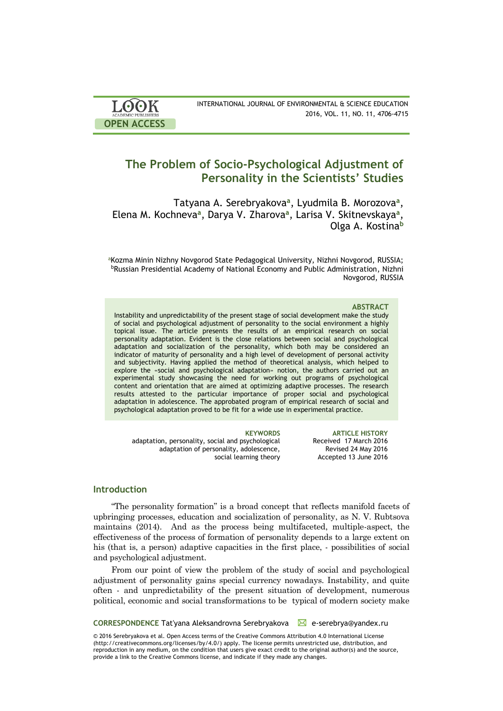| <b>LOOK</b>                | INTERNATIONAL JOURNAL OF ENVIRONMENTAL & SCIENCE EDUCATION |
|----------------------------|------------------------------------------------------------|
| <b>ACADEMIC PUBLISHERS</b> | 2016, VOL. 11, NO. 11, 4706-4715                           |
| <b>OPEN ACCESS</b>         |                                                            |

# **The Problem of Socio-Psychological Adjustment of Personality in the Scientists' Studies**

Тatyana A. Serebryakova**<sup>a</sup>** , Lyudmila B. Morozova**<sup>a</sup>** , Elena M. Kochneva**<sup>a</sup>** , Darya V. Zharova**<sup>a</sup>** , Larisa V. Skitnevskaya**<sup>a</sup>** , Olga A. Kostina**<sup>b</sup>**

aKozma Minin Nizhny Novgorod State Pedagogical University, Nizhni Novgorod, RUSSIA; <sup>b</sup>Russian Presidential Academy of National Economy and Public Administration, Nizhni Novgorod, RUSSIA

### **ABSTRACT**

Instability and unpredictability of the present stage of social development make the study of social and psychological adjustment of personality to the social environment a highly topical issue. The article presents the results of an empirical research on social personality adaptation. Evident is the close relations between social and psychological adaptation and socialization of the personality, which both may be considered an indicator of maturity of personality and a high level of development of personal activity and subjectivity. Having applied the method of theoretical analysis, which helped to explore the «social and psychological adaptation» notion, the authors carried out an experimental study showcasing the need for working out programs of psychological content and orientation that are aimed at optimizing adaptive processes. The research results attested to the particular importance of proper social and psychological adaptation in adolescence. The approbated program of empirical research of social and psychological adaptation proved to be fit for a wide use in experimental practice.

**KEYWORDS ARTICLE HISTORY** adaptation, personality, social and psychological adaptation of personality, adolescence, social learning theory Received 17 March 2016 Revised 24 May 2016 Accepted 13 June 2016

# **Introduction**

"The personality formation" is a broad concept that reflects manifold facets of upbringing processes, education and socialization of personality, as N. V. Rubtsova maintains (2014). And as the process being multifaceted, multiple-aspect, the effectiveness of the process of formation of personality depends to a large extent on his (that is, a person) adaptive capacities in the first place, - possibilities of social and psychological adjustment.

From our point of view the problem of the study of social and psychological adjustment of personality gains special currency nowadays. Instability, and quite often - and unpredictability of the present situation of development, numerous political, economic and social transformations to be typical of modern society make

**CORRESPONDENCE** Tat'yana Aleksandrovna Serebryakova ∠ e-serebrya@yandex.ru

© 2016 Serebryakova et al. Open Access terms of the Creative Commons Attribution 4.0 International License (http://creativecommons.org/licenses/by/4.0/) apply. The license permits unrestricted use, distribution, and reproduction in any medium, on the condition that users give exact credit to the original author(s) and the source, provide a link to the Creative Commons license, and indicate if they made any changes.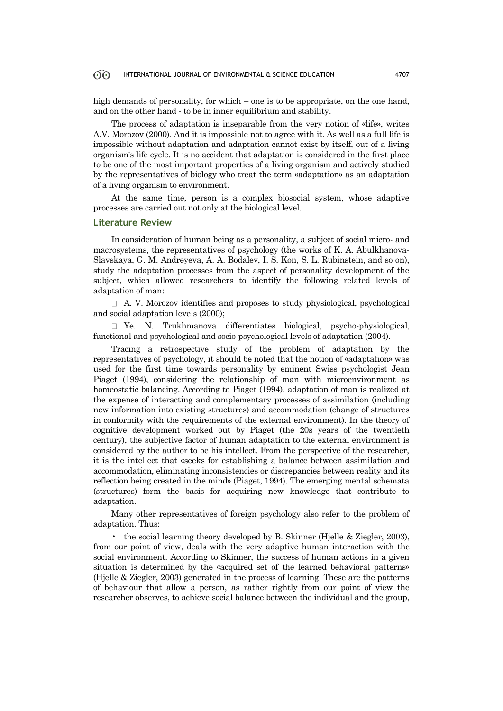high demands of personality, for which – one is to be appropriate, on the one hand, and on the other hand - to be in inner equilibrium and stability.

The process of adaptation is inseparable from the very notion of «life», writes A.V. Morozov (2000). And it is impossible not to agree with it. As well as a full life is impossible without adaptation and adaptation cannot exist by itself, out of a living organism's life cycle. It is no accident that adaptation is considered in the first place to be one of the most important properties of a living organism and actively studied by the representatives of biology who treat the term «adaptation» as an adaptation of a living organism to environment.

At the same time, person is a complex biosocial system, whose adaptive processes are carried out not only at the biological level.

### **Literature Review**

In consideration of human being as a personality, a subject of social micro- and macrosystems, the representatives of psychology (the works of K. A. Abulkhanova-Slavskaya, G. M. Andreyeva, A. A. Bodalev, I. S. Kon, S. L. Rubinstein, and so on), study the adaptation processes from the aspect of personality development of the subject, which allowed researchers to identify the following related levels of adaptation of man:

 $\Box$  A. V. Morozov identifies and proposes to study physiological, psychological and social adaptation levels (2000);

 $\Box$  Ye. N. Trukhmanova differentiates biological, psycho-physiological, functional and psychological and socio-psychological levels of adaptation (2004).

Tracing a retrospective study of the problem of adaptation by the representatives of psychology, it should be noted that the notion of «adaptation» was used for the first time towards personality by eminent Swiss psychologist Jean Piaget (1994), considering the relationship of man with microenvironment as homeostatic balancing. According to Piaget (1994), adaptation of man is realized at the expense of interacting and complementary processes of assimilation (including new information into existing structures) and accommodation (change of structures in conformity with the requirements of the external environment). In the theory of cognitive development worked out by Piaget (the 20s years of the twentieth century), the subjective factor of human adaptation to the external environment is considered by the author to be his intellect. From the perspective of the researcher, it is the intellect that «seeks for establishing a balance between assimilation and accommodation, eliminating inconsistencies or discrepancies between reality and its reflection being created in the mind» (Piaget, 1994). The emerging mental schemata (structures) form the basis for acquiring new knowledge that contribute to adaptation.

Many other representatives of foreign psychology also refer to the problem of adaptation. Thus:

• the social learning theory developed by B. Skinner (Hjelle & Ziegler, 2003), from our point of view, deals with the very adaptive human interaction with the social environment. According to Skinner, the success of human actions in a given situation is determined by the «acquired set of the learned behavioral patterns» (Hjelle & Ziegler, 2003) generated in the process of learning. These are the patterns of behaviour that allow a person, as rather rightly from our point of view the researcher observes, to achieve social balance between the individual and the group,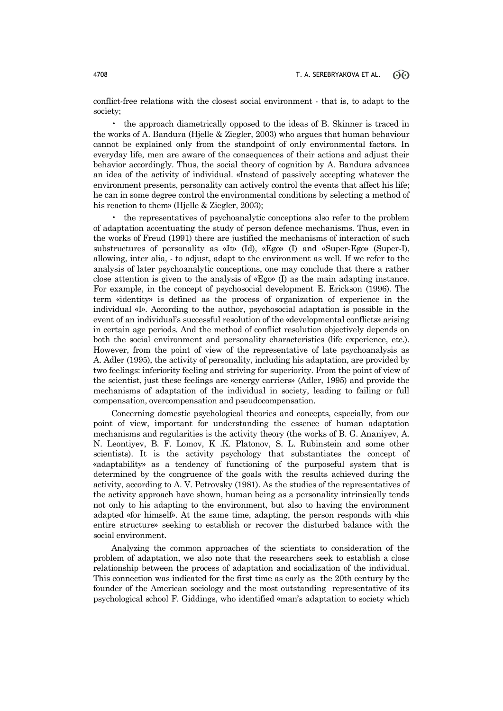conflict-free relations with the closest social environment - that is, to adapt to the society;

• the approach diametrically opposed to the ideas of B. Skinner is traced in the works of A. Bandura (Hjelle & Ziegler, 2003) who argues that human behaviour cannot be explained only from the standpoint of only environmental factors. In everyday life, men are aware of the consequences of their actions and adjust their behavior accordingly. Thus, the social theory of cognition by A. Bandura advances an idea of the activity of individual. «Instead of passively accepting whatever the environment presents, personality can actively control the events that affect his life; he can in some degree control the environmental conditions by selecting a method of his reaction to them» (Hjelle & Ziegler, 2003);

• the representatives of psychoanalytic conceptions also refer to the problem of adaptation accentuating the study of person defence mechanisms. Thus, even in the works of Freud (1991) there are justified the mechanisms of interaction of such substructures of personality as «It» (Id), «Ego» (I) and «Super-Ego» (Super-I), allowing, inter alia, - to adjust, adapt to the environment as well. If we refer to the analysis of later psychoanalytic conceptions, one may conclude that there a rather close attention is given to the analysis of «Ego» (I) as the main adapting instance. For example, in the concept of psychosocial development E. Erickson (1996). The term «identity» is defined as the process of organization of experience in the individual «I». According to the author, psychosocial adaptation is possible in the event of an individual's successful resolution of the «developmental conflicts» arising in certain age periods. And the method of conflict resolution objectively depends on both the social environment and personality characteristics (life experience, etc.). However, from the point of view of the representative of late psychoanalysis as A. Adler (1995), the activity of personality, including his adaptation, are provided by two feelings: inferiority feeling and striving for superiority. From the point of view of the scientist, just these feelings are «energy carriers» (Adler, 1995) and provide the mechanisms of adaptation of the individual in society, leading to failing or full compensation, overcompensation and pseudocompensation.

Concerning domestic psychological theories and concepts, especially, from our point of view, important for understanding the essence of human adaptation mechanisms and regularities is the activity theory (the works of B. G. Ananiyev, A. N. Leontiyev, B. F. Lomov, K .K. Platonov, S. L. Rubinstein and some other scientists). It is the activity psychology that substantiates the concept of «adaptability» as a tendency of functioning of the purposeful system that is determined by the congruence of the goals with the results achieved during the activity, according to A. V. Petrovsky (1981). As the studies of the representatives of the activity approach have shown, human being as a personality intrinsically tends not only to his adapting to the environment, but also to having the environment adapted «for himself». At the same time, adapting, the person responds with «his entire structure» seeking to establish or recover the disturbed balance with the social environment.

Analyzing the common approaches of the scientists to consideration of the problem of adaptation, we also note that the researchers seek to establish a close relationship between the process of adaptation and socialization of the individual. This connection was indicated for the first time as early as the 20th century by the founder of the American sociology and the most outstanding representative of its psychological school F. Giddings, who identified «man's adaptation to society which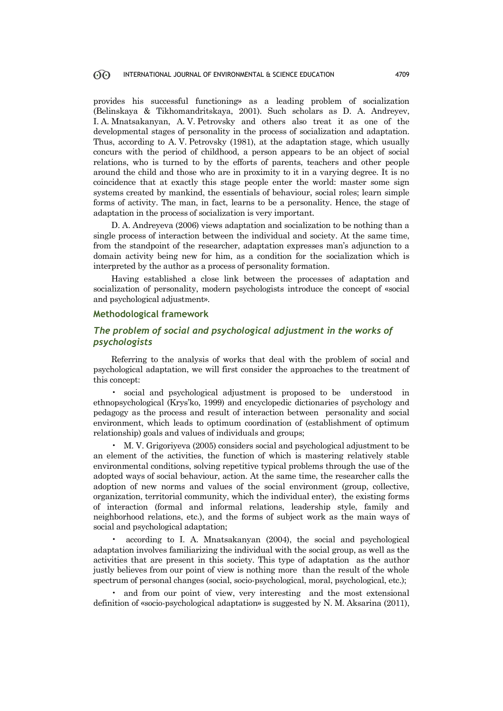provides his successful functioning» as a leading problem of socialization (Belinskaya & Tikhomandritskaya, 2001). Such scholars as D. A. Andreyev, I. A. Mnatsakanyan, A. V. Petrovsky and others also treat it as one of the developmental stages of personality in the process of socialization and adaptation. Thus, according to A. V. Petrovsky (1981), at the adaptation stage, which usually concurs with the period of childhood, a person appears to be an object of social relations, who is turned to by the efforts of parents, teachers and other people around the child and those who are in proximity to it in a varying degree. It is no coincidence that at exactly this stage people enter the world: master some sign systems created by mankind, the essentials of behaviour, social roles; learn simple forms of activity. The man, in fact, learns to be a personality. Hence, the stage of adaptation in the process of socialization is very important.

D. A. Andreyeva (2006) views adaptation and socialization to be nothing than a single process of interaction between the individual and society. At the same time, from the standpoint of the researcher, adaptation expresses man's adjunction to a domain activity being new for him, as a condition for the socialization which is interpreted by the author as a process of personality formation.

Having established a close link between the processes of adaptation and socialization of personality, modern psychologists introduce the concept of «social and psychological adjustment».

## **Methodological framework**

# *The problem of social and psychological adjustment in the works of psychologists*

Referring to the analysis of works that deal with the problem of social and psychological adaptation, we will first consider the approaches to the treatment of this concept:

• social and psychological adjustment is proposed to be understood in ethnopsychological (Krys'ko, 1999) and encyclopedic dictionaries of psychology and pedagogy as the process and result of interaction between personality and social environment, which leads to optimum coordination of (establishment of optimum relationship) goals and values of individuals and groups;

• M. V. Grigoriyeva (2005) considers social and psychological adjustment to be an element of the activities, the function of which is mastering relatively stable environmental conditions, solving repetitive typical problems through the use of the adopted ways of social behaviour, action. At the same time, the researcher calls the adoption of new norms and values of the social environment (group, collective, organization, territorial community, which the individual enter), the existing forms of interaction (formal and informal relations, leadership style, family and neighborhood relations, etc.), and the forms of subject work as the main ways of social and psychological adaptation;

• according to I. A. Mnatsakanyan (2004), the social and psychological adaptation involves familiarizing the individual with the social group, as well as the activities that are present in this society. This type of adaptation as the author justly believes from our point of view is nothing more than the result of the whole spectrum of personal changes (social, socio-psychological, moral, psychological, etc.);

and from our point of view, very interesting and the most extensional definition of «socio-psychological adaptation» is suggested by N. М. Aksarina (2011),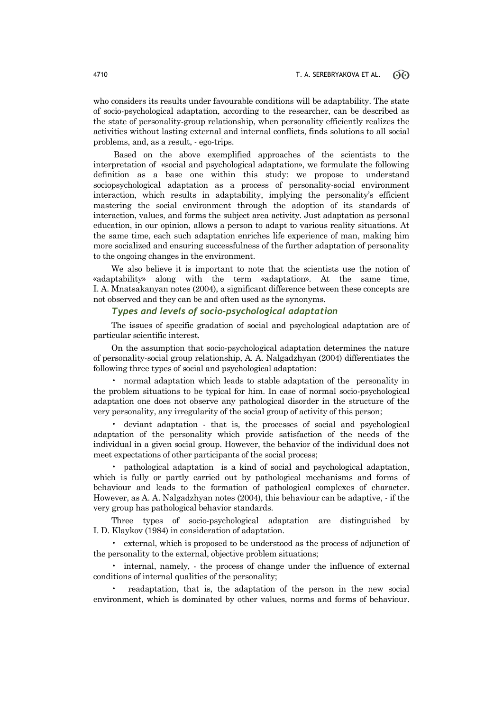who considers its results under favourable conditions will be adaptability. The state of socio-psychological adaptation, according to the researcher, can be described as the state of personality-group relationship, when personality efficiently realizes the activities without lasting external and internal conflicts, finds solutions to all social problems, and, as a result, - ego-trips.

Based on the above exemplified approaches of the scientists to the interpretation of «social and psychological adaptation», we formulate the following definition as a base one within this study: we propose to understand sociopsychological adaptation as a process of personality-social environment interaction, which results in adaptability, implying the personality's efficient mastering the social environment through the adoption of its standards of interaction, values, and forms the subject area activity. Just adaptation as personal education, in our opinion, allows a person to adapt to various reality situations. At the same time, each such adaptation enriches life experience of man, making him more socialized and ensuring successfulness of the further adaptation of personality to the ongoing changes in the environment.

We also believe it is important to note that the scientists use the notion of «adaptability» along with the term «adaptation». At the same time, I. A. Mnatsakanyan notes (2004), a significant difference between these concepts are not observed and they can be and often used as the synonyms.

# *Types and levels of socio-psychological adaptation*

The issues of specific gradation of social and psychological adaptation are of particular scientific interest.

On the assumption that socio-psychological adaptation determines the nature of personality-social group relationship, A. A. Nalgadzhyan (2004) differentiates the following three types of social and psychological adaptation:

• normal adaptation which leads to stable adaptation of the personality in the problem situations to be typical for him. In case of normal socio-psychological adaptation one does not observe any pathological disorder in the structure of the very personality, any irregularity of the social group of activity of this person;

• deviant adaptation - that is, the processes of social and psychological adaptation of the personality which provide satisfaction of the needs of the individual in a given social group. However, the behavior of the individual does not meet expectations of other participants of the social process;

• pathological adaptation is a kind of social and psychological adaptation, which is fully or partly carried out by pathological mechanisms and forms of behaviour and leads to the formation of pathological complexes of character. However, as A. A. Nalgadzhyan notes (2004), this behaviour can be adaptive, - if the very group has pathological behavior standards.

Three types of socio-psychological adaptation are distinguished by I. D. Klaykov (1984) in consideration of adaptation.

• external, which is proposed to be understood as the process of adjunction of the personality to the external, objective problem situations;

• internal, namely, - the process of change under the influence of external conditions of internal qualities of the personality;

• readaptation, that is, the adaptation of the person in the new social environment, which is dominated by other values, norms and forms of behaviour.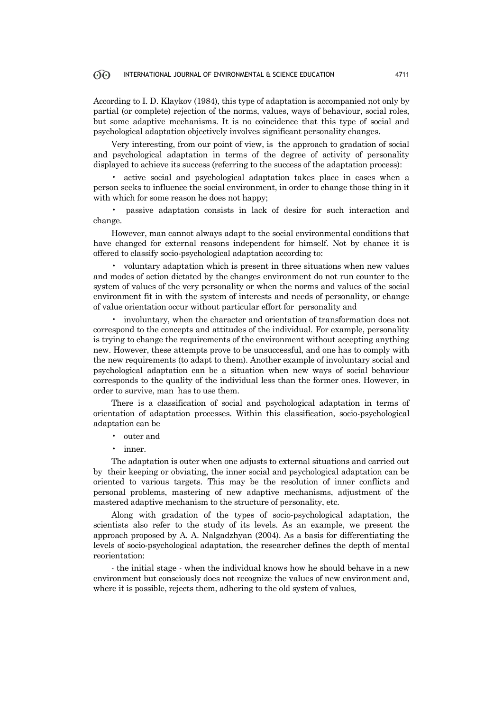According to I. D. Klaykov (1984), this type of adaptation is accompanied not only by partial (or complete) rejection of the norms, values, ways of behaviour, social roles, but some adaptive mechanisms. It is no coincidence that this type of social and psychological adaptation objectively involves significant personality changes.

Very interesting, from our point of view, is the approach to gradation of social and psychological adaptation in terms of the degree of activity of personality displayed to achieve its success (referring to the success of the adaptation process):

• active social and psychological adaptation takes place in cases when a person seeks to influence the social environment, in order to change those thing in it with which for some reason he does not happy;

• passive adaptation consists in lack of desire for such interaction and change.

However, man cannot always adapt to the social environmental conditions that have changed for external reasons independent for himself. Not by chance it is offered to classify socio-psychological adaptation according to:

• voluntary adaptation which is present in three situations when new values and modes of action dictated by the changes environment do not run counter to the system of values of the very personality or when the norms and values of the social environment fit in with the system of interests and needs of personality, or change of value orientation occur without particular effort for personality and

• involuntary, when the character and orientation of transformation does not correspond to the concepts and attitudes of the individual. For example, personality is trying to change the requirements of the environment without accepting anything new. However, these attempts prove to be unsuccessful, and one has to comply with the new requirements (to adapt to them). Another example of involuntary social and psychological adaptation can be a situation when new ways of social behaviour corresponds to the quality of the individual less than the former ones. However, in order to survive, man has to use them.

There is a classification of social and psychological adaptation in terms of orientation of adaptation processes. Within this classification, socio-psychological adaptation can be

- outer and
- inner.

The adaptation is outer when one adjusts to external situations and carried out by their keeping or obviating, the inner social and psychological adaptation can be oriented to various targets. This may be the resolution of inner conflicts and personal problems, mastering of new adaptive mechanisms, adjustment of the mastered adaptive mechanism to the structure of personality, etc.

Along with gradation of the types of socio-psychological adaptation, the scientists also refer to the study of its levels. As an example, we present the approach proposed by A. A. Nalgadzhyan (2004). As a basis for differentiating the levels of socio-psychological adaptation, the researcher defines the depth of mental reorientation:

- the initial stage - when the individual knows how he should behave in a new environment but consciously does not recognize the values of new environment and, where it is possible, rejects them, adhering to the old system of values,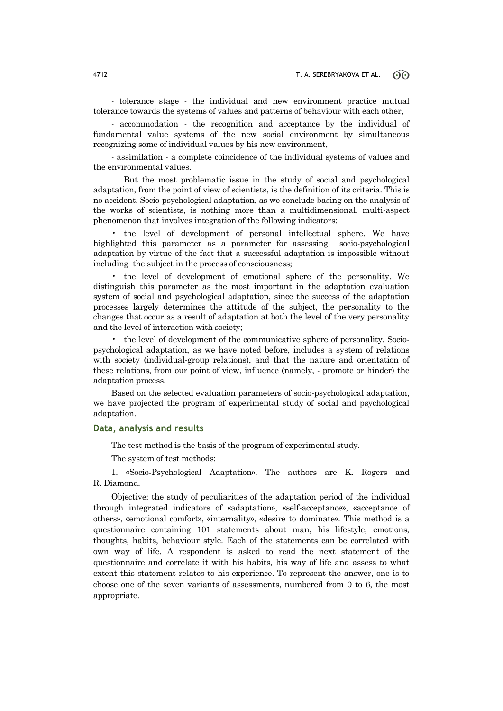- tolerance stage - the individual and new environment practice mutual tolerance towards the systems of values and patterns of behaviour with each other,

- accommodation - the recognition and acceptance by the individual of fundamental value systems of the new social environment by simultaneous recognizing some of individual values by his new environment,

- assimilation - a complete coincidence of the individual systems of values and the environmental values.

But the most problematic issue in the study of social and psychological adaptation, from the point of view of scientists, is the definition of its criteria. This is no accident. Socio-psychological adaptation, as we conclude basing on the analysis of the works of scientists, is nothing more than a multidimensional, multi-aspect phenomenon that involves integration of the following indicators:

• the level of development of personal intellectual sphere. We have highlighted this parameter as a parameter for assessing socio-psychological adaptation by virtue of the fact that a successful adaptation is impossible without including the subject in the process of consciousness;

• the level of development of emotional sphere of the personality. We distinguish this parameter as the most important in the adaptation evaluation system of social and psychological adaptation, since the success of the adaptation processes largely determines the attitude of the subject, the personality to the changes that occur as a result of adaptation at both the level of the very personality and the level of interaction with society;

• the level of development of the communicative sphere of personality. Sociopsychological adaptation, as we have noted before, includes a system of relations with society (individual-group relations), and that the nature and orientation of these relations, from our point of view, influence (namely, - promote or hinder) the adaptation process.

Based on the selected evaluation parameters of socio-psychological adaptation, we have projected the program of experimental study of social and psychological adaptation.

# **Data, analysis and results**

The test method is the basis of the program of experimental study.

The system of test methods:

1. «Socio-Psychological Adaptation». The authors are K. Rogers and R. Diamond.

Objective: the study of peculiarities of the adaptation period of the individual through integrated indicators of «adaptation», «self-acceptance», «acceptance of others», «emotional comfort», «internality», «desire to dominate». This method is a questionnaire containing 101 statements about man, his lifestyle, emotions, thoughts, habits, behaviour style. Each of the statements can be correlated with own way of life. A respondent is asked to read the next statement of the questionnaire and correlate it with his habits, his way of life and assess to what extent this statement relates to his experience. To represent the answer, one is to choose one of the seven variants of assessments, numbered from 0 to 6, the most appropriate.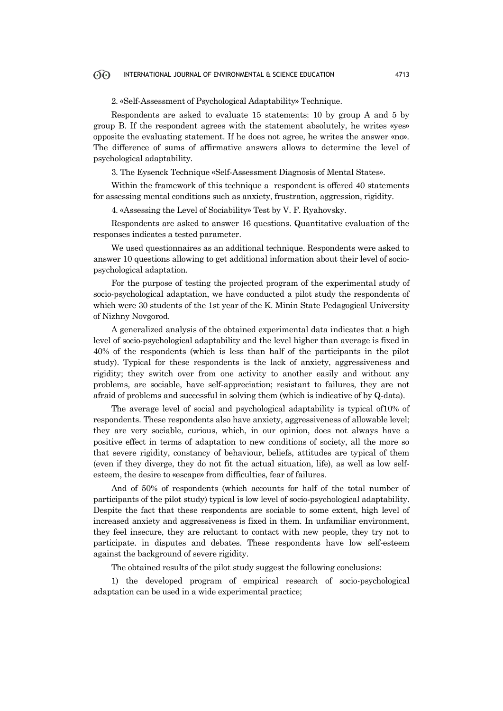2. «Self-Assessment of Psychological Adaptability» Technique.

Respondents are asked to evaluate 15 statements: 10 by group A and 5 by group B. If the respondent agrees with the statement absolutely, he writes «yes» opposite the evaluating statement. If he does not agree, he writes the answer «no». The difference of sums of affirmative answers allows to determine the level of psychological adaptability.

3. The Eysenck Technique «Self-Assessment Diagnosis of Mental States».

Within the framework of this technique a respondent is offered 40 statements for assessing mental conditions such as anxiety, frustration, aggression, rigidity.

4. «Assessing the Level of Sociability» Test by V. F. Ryahovsky.

Respondents are asked to answer 16 questions. Quantitative evaluation of the responses indicates a tested parameter.

We used questionnaires as an additional technique. Respondents were asked to answer 10 questions allowing to get additional information about their level of sociopsychological adaptation.

For the purpose of testing the projected program of the experimental study of socio-psychological adaptation, we have conducted a pilot study the respondents of which were 30 students of the 1st year of the K. Minin State Pedagogical University of Nizhny Novgorod.

A generalized analysis of the obtained experimental data indicates that a high level of socio-psychological adaptability and the level higher than average is fixed in 40% of the respondents (which is less than half of the participants in the pilot study). Typical for these respondents is the lack of anxiety, aggressiveness and rigidity; they switch over from one activity to another easily and without any problems, are sociable, have self-appreciation; resistant to failures, they are not afraid of problems and successful in solving them (which is indicative of by Q-data).

The average level of social and psychological adaptability is typical of10% of respondents. These respondents also have anxiety, aggressiveness of allowable level; they are very sociable, curious, which, in our opinion, does not always have a positive effect in terms of adaptation to new conditions of society, all the more so that severe rigidity, constancy of behaviour, beliefs, attitudes are typical of them (even if they diverge, they do not fit the actual situation, life), as well as low selfesteem, the desire to «escape» from difficulties, fear of failures.

And of 50% of respondents (which accounts for half of the total number of participants of the pilot study) typical is low level of socio-psychological adaptability. Despite the fact that these respondents are sociable to some extent, high level of increased anxiety and aggressiveness is fixed in them. In unfamiliar environment, they feel insecure, they are reluctant to contact with new people, they try not to participate. in disputes and debates. These respondents have low self-esteem against the background of severe rigidity.

The obtained results of the pilot study suggest the following conclusions:

1) the developed program of empirical research of socio-psychological adaptation can be used in a wide experimental practice;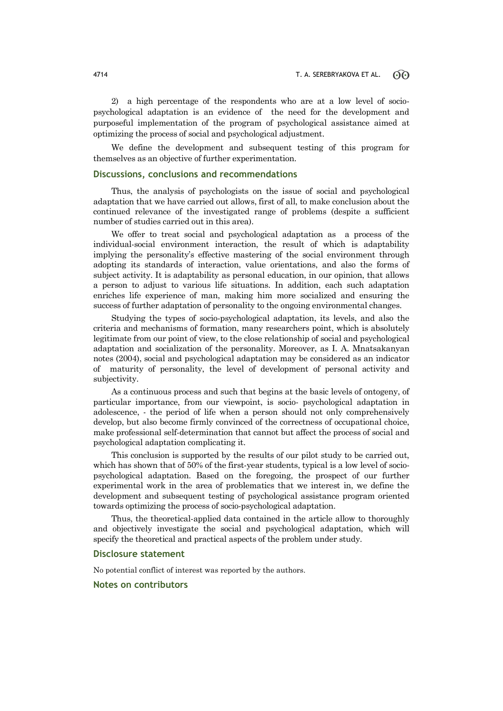2) a high percentage of the respondents who are at a low level of sociopsychological adaptation is an evidence of the need for the development and purposeful implementation of the program of psychological assistance aimed at optimizing the process of social and psychological adjustment.

We define the development and subsequent testing of this program for themselves as an objective of further experimentation.

### **Discussions, conclusions and recommendations**

Thus, the analysis of psychologists on the issue of social and psychological adaptation that we have carried out allows, first of all, to make conclusion about the continued relevance of the investigated range of problems (despite a sufficient number of studies carried out in this area).

We offer to treat social and psychological adaptation as a process of the individual-social environment interaction, the result of which is adaptability implying the personality's effective mastering of the social environment through adopting its standards of interaction, value orientations, and also the forms of subject activity. It is adaptability as personal education, in our opinion, that allows a person to adjust to various life situations. In addition, each such adaptation enriches life experience of man, making him more socialized and ensuring the success of further adaptation of personality to the ongoing environmental changes.

Studying the types of socio-psychological adaptation, its levels, and also the criteria and mechanisms of formation, many researchers point, which is absolutely legitimate from our point of view, to the close relationship of social and psychological adaptation and socialization of the personality. Moreover, as I. A. Mnatsakanyan notes (2004), social and psychological adaptation may be considered as an indicator of maturity of personality, the level of development of personal activity and subjectivity.

As a continuous process and such that begins at the basic levels of ontogeny, of particular importance, from our viewpoint, is socio- psychological adaptation in adolescence, - the period of life when a person should not only comprehensively develop, but also become firmly convinced of the correctness of occupational choice, make professional self-determination that cannot but affect the process of social and psychological adaptation complicating it.

This conclusion is supported by the results of our pilot study to be carried out, which has shown that of 50% of the first-year students, typical is a low level of sociopsychological adaptation. Based on the foregoing, the prospect of our further experimental work in the area of problematics that we interest in, we define the development and subsequent testing of psychological assistance program oriented towards optimizing the process of socio-psychological adaptation.

Thus, the theoretical-applied data contained in the article allow to thoroughly and objectively investigate the social and psychological adaptation, which will specify the theoretical and practical aspects of the problem under study.

### **Disclosure statement**

No potential conflict of interest was reported by the authors.

## **Notes on contributors**